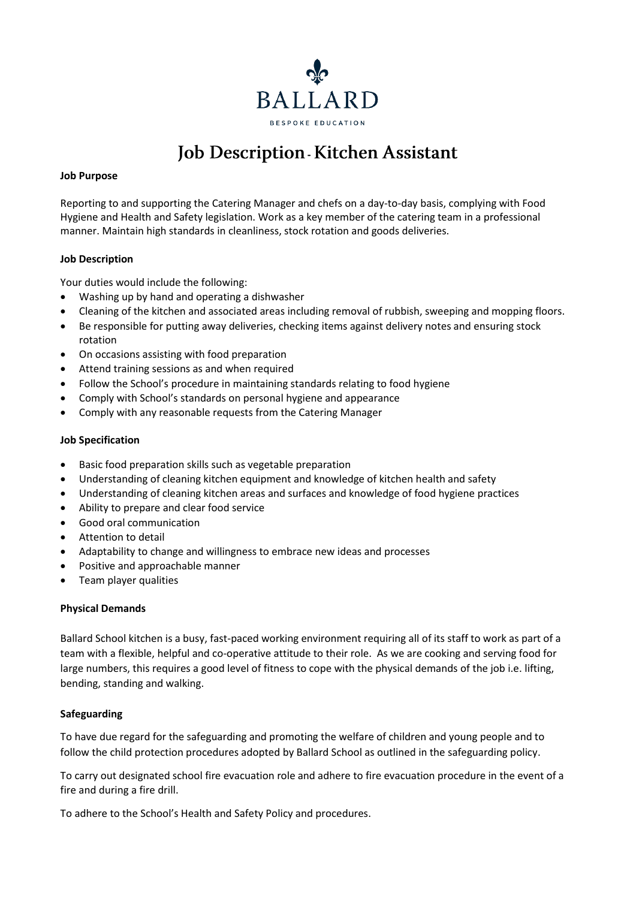

# **Job Description - Kitchen Assistant**

#### **Job Purpose**

Reporting to and supporting the Catering Manager and chefs on a day-to-day basis, complying with Food Hygiene and Health and Safety legislation. Work as a key member of the catering team in a professional manner. Maintain high standards in cleanliness, stock rotation and goods deliveries.

#### **Job Description**

Your duties would include the following:

- Washing up by hand and operating a dishwasher
- Cleaning of the kitchen and associated areas including removal of rubbish, sweeping and mopping floors.
- Be responsible for putting away deliveries, checking items against delivery notes and ensuring stock rotation
- On occasions assisting with food preparation
- Attend training sessions as and when required
- Follow the School's procedure in maintaining standards relating to food hygiene
- Comply with School's standards on personal hygiene and appearance
- Comply with any reasonable requests from the Catering Manager

#### **Job Specification**

- Basic food preparation skills such as vegetable preparation
- Understanding of cleaning kitchen equipment and knowledge of kitchen health and safety
- Understanding of cleaning kitchen areas and surfaces and knowledge of food hygiene practices
- Ability to prepare and clear food service
- Good oral communication
- Attention to detail
- Adaptability to change and willingness to embrace new ideas and processes
- Positive and approachable manner
- Team player qualities

#### **Physical Demands**

Ballard School kitchen is a busy, fast-paced working environment requiring all of its staff to work as part of a team with a flexible, helpful and co-operative attitude to their role. As we are cooking and serving food for large numbers, this requires a good level of fitness to cope with the physical demands of the job i.e. lifting, bending, standing and walking.

#### **Safeguarding**

To have due regard for the safeguarding and promoting the welfare of children and young people and to follow the child protection procedures adopted by Ballard School as outlined in the safeguarding policy.

To carry out designated school fire evacuation role and adhere to fire evacuation procedure in the event of a fire and during a fire drill.

To adhere to the School's Health and Safety Policy and procedures.